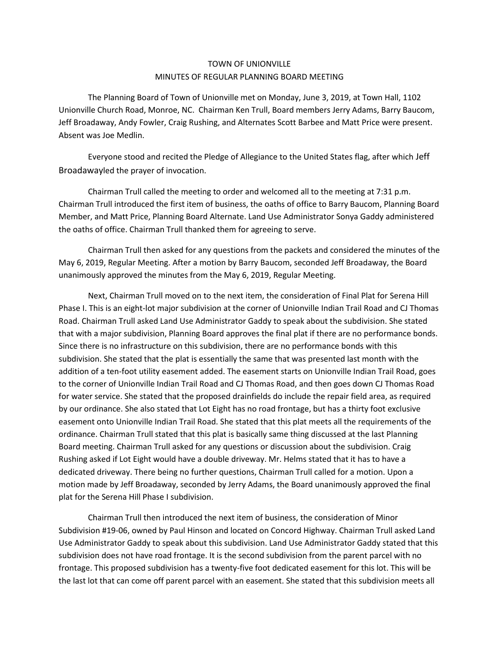## TOWN OF UNIONVILLE MINUTES OF REGULAR PLANNING BOARD MEETING

The Planning Board of Town of Unionville met on Monday, June 3, 2019, at Town Hall, 1102 Unionville Church Road, Monroe, NC. Chairman Ken Trull, Board members Jerry Adams, Barry Baucom, Jeff Broadaway, Andy Fowler, Craig Rushing, and Alternates Scott Barbee and Matt Price were present. Absent was Joe Medlin.

Everyone stood and recited the Pledge of Allegiance to the United States flag, after which Jeff Broadawayled the prayer of invocation.

Chairman Trull called the meeting to order and welcomed all to the meeting at 7:31 p.m. Chairman Trull introduced the first item of business, the oaths of office to Barry Baucom, Planning Board Member, and Matt Price, Planning Board Alternate. Land Use Administrator Sonya Gaddy administered the oaths of office. Chairman Trull thanked them for agreeing to serve.

Chairman Trull then asked for any questions from the packets and considered the minutes of the May 6, 2019, Regular Meeting. After a motion by Barry Baucom, seconded Jeff Broadaway, the Board unanimously approved the minutes from the May 6, 2019, Regular Meeting.

Next, Chairman Trull moved on to the next item, the consideration of Final Plat for Serena Hill Phase I. This is an eight-lot major subdivision at the corner of Unionville Indian Trail Road and CJ Thomas Road. Chairman Trull asked Land Use Administrator Gaddy to speak about the subdivision. She stated that with a major subdivision, Planning Board approves the final plat if there are no performance bonds. Since there is no infrastructure on this subdivision, there are no performance bonds with this subdivision. She stated that the plat is essentially the same that was presented last month with the addition of a ten-foot utility easement added. The easement starts on Unionville Indian Trail Road, goes to the corner of Unionville Indian Trail Road and CJ Thomas Road, and then goes down CJ Thomas Road for water service. She stated that the proposed drainfields do include the repair field area, as required by our ordinance. She also stated that Lot Eight has no road frontage, but has a thirty foot exclusive easement onto Unionville Indian Trail Road. She stated that this plat meets all the requirements of the ordinance. Chairman Trull stated that this plat is basically same thing discussed at the last Planning Board meeting. Chairman Trull asked for any questions or discussion about the subdivision. Craig Rushing asked if Lot Eight would have a double driveway. Mr. Helms stated that it has to have a dedicated driveway. There being no further questions, Chairman Trull called for a motion. Upon a motion made by Jeff Broadaway, seconded by Jerry Adams, the Board unanimously approved the final plat for the Serena Hill Phase I subdivision.

Chairman Trull then introduced the next item of business, the consideration of Minor Subdivision #19-06, owned by Paul Hinson and located on Concord Highway. Chairman Trull asked Land Use Administrator Gaddy to speak about this subdivision. Land Use Administrator Gaddy stated that this subdivision does not have road frontage. It is the second subdivision from the parent parcel with no frontage. This proposed subdivision has a twenty-five foot dedicated easement for this lot. This will be the last lot that can come off parent parcel with an easement. She stated that this subdivision meets all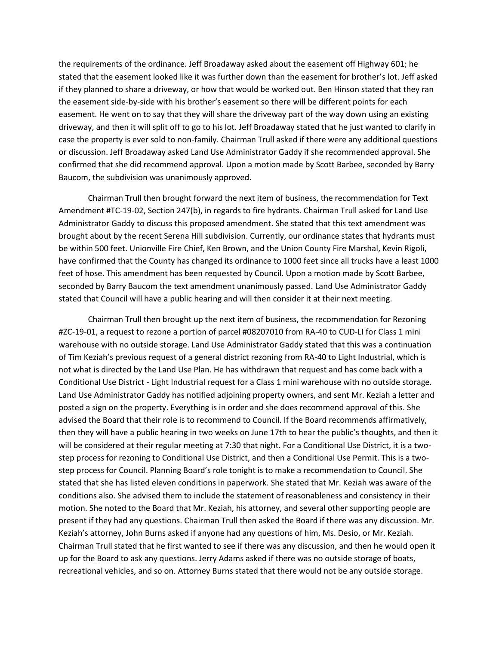the requirements of the ordinance. Jeff Broadaway asked about the easement off Highway 601; he stated that the easement looked like it was further down than the easement for brother's lot. Jeff asked if they planned to share a driveway, or how that would be worked out. Ben Hinson stated that they ran the easement side-by-side with his brother's easement so there will be different points for each easement. He went on to say that they will share the driveway part of the way down using an existing driveway, and then it will split off to go to his lot. Jeff Broadaway stated that he just wanted to clarify in case the property is ever sold to non-family. Chairman Trull asked if there were any additional questions or discussion. Jeff Broadaway asked Land Use Administrator Gaddy if she recommended approval. She confirmed that she did recommend approval. Upon a motion made by Scott Barbee, seconded by Barry Baucom, the subdivision was unanimously approved.

Chairman Trull then brought forward the next item of business, the recommendation for Text Amendment #TC-19-02, Section 247(b), in regards to fire hydrants. Chairman Trull asked for Land Use Administrator Gaddy to discuss this proposed amendment. She stated that this text amendment was brought about by the recent Serena Hill subdivision. Currently, our ordinance states that hydrants must be within 500 feet. Unionville Fire Chief, Ken Brown, and the Union County Fire Marshal, Kevin Rigoli, have confirmed that the County has changed its ordinance to 1000 feet since all trucks have a least 1000 feet of hose. This amendment has been requested by Council. Upon a motion made by Scott Barbee, seconded by Barry Baucom the text amendment unanimously passed. Land Use Administrator Gaddy stated that Council will have a public hearing and will then consider it at their next meeting.

Chairman Trull then brought up the next item of business, the recommendation for Rezoning #ZC-19-01, a request to rezone a portion of parcel #08207010 from RA-40 to CUD-LI for Class 1 mini warehouse with no outside storage. Land Use Administrator Gaddy stated that this was a continuation of Tim Keziah's previous request of a general district rezoning from RA-40 to Light Industrial, which is not what is directed by the Land Use Plan. He has withdrawn that request and has come back with a Conditional Use District - Light Industrial request for a Class 1 mini warehouse with no outside storage. Land Use Administrator Gaddy has notified adjoining property owners, and sent Mr. Keziah a letter and posted a sign on the property. Everything is in order and she does recommend approval of this. She advised the Board that their role is to recommend to Council. If the Board recommends affirmatively, then they will have a public hearing in two weeks on June 17th to hear the public's thoughts, and then it will be considered at their regular meeting at 7:30 that night. For a Conditional Use District, it is a twostep process for rezoning to Conditional Use District, and then a Conditional Use Permit. This is a twostep process for Council. Planning Board's role tonight is to make a recommendation to Council. She stated that she has listed eleven conditions in paperwork. She stated that Mr. Keziah was aware of the conditions also. She advised them to include the statement of reasonableness and consistency in their motion. She noted to the Board that Mr. Keziah, his attorney, and several other supporting people are present if they had any questions. Chairman Trull then asked the Board if there was any discussion. Mr. Keziah's attorney, John Burns asked if anyone had any questions of him, Ms. Desio, or Mr. Keziah. Chairman Trull stated that he first wanted to see if there was any discussion, and then he would open it up for the Board to ask any questions. Jerry Adams asked if there was no outside storage of boats, recreational vehicles, and so on. Attorney Burns stated that there would not be any outside storage.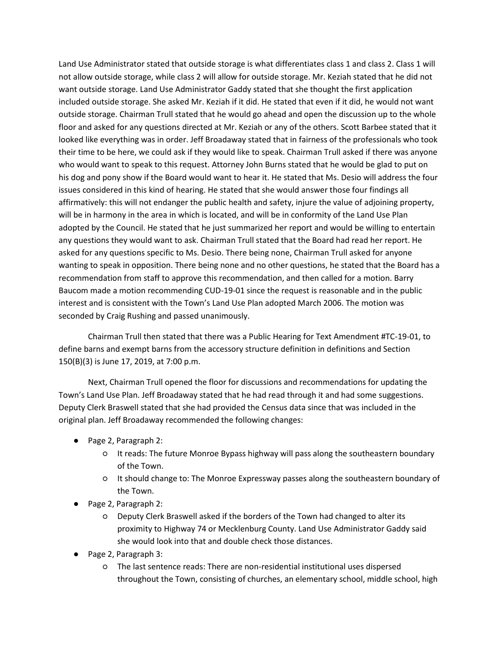Land Use Administrator stated that outside storage is what differentiates class 1 and class 2. Class 1 will not allow outside storage, while class 2 will allow for outside storage. Mr. Keziah stated that he did not want outside storage. Land Use Administrator Gaddy stated that she thought the first application included outside storage. She asked Mr. Keziah if it did. He stated that even if it did, he would not want outside storage. Chairman Trull stated that he would go ahead and open the discussion up to the whole floor and asked for any questions directed at Mr. Keziah or any of the others. Scott Barbee stated that it looked like everything was in order. Jeff Broadaway stated that in fairness of the professionals who took their time to be here, we could ask if they would like to speak. Chairman Trull asked if there was anyone who would want to speak to this request. Attorney John Burns stated that he would be glad to put on his dog and pony show if the Board would want to hear it. He stated that Ms. Desio will address the four issues considered in this kind of hearing. He stated that she would answer those four findings all affirmatively: this will not endanger the public health and safety, injure the value of adjoining property, will be in harmony in the area in which is located, and will be in conformity of the Land Use Plan adopted by the Council. He stated that he just summarized her report and would be willing to entertain any questions they would want to ask. Chairman Trull stated that the Board had read her report. He asked for any questions specific to Ms. Desio. There being none, Chairman Trull asked for anyone wanting to speak in opposition. There being none and no other questions, he stated that the Board has a recommendation from staff to approve this recommendation, and then called for a motion. Barry Baucom made a motion recommending CUD-19-01 since the request is reasonable and in the public interest and is consistent with the Town's Land Use Plan adopted March 2006. The motion was seconded by Craig Rushing and passed unanimously.

Chairman Trull then stated that there was a Public Hearing for Text Amendment #TC-19-01, to define barns and exempt barns from the accessory structure definition in definitions and Section 150(B)(3) is June 17, 2019, at 7:00 p.m.

Next, Chairman Trull opened the floor for discussions and recommendations for updating the Town's Land Use Plan. Jeff Broadaway stated that he had read through it and had some suggestions. Deputy Clerk Braswell stated that she had provided the Census data since that was included in the original plan. Jeff Broadaway recommended the following changes:

- Page 2, Paragraph 2:
	- It reads: The future Monroe Bypass highway will pass along the southeastern boundary of the Town.
	- It should change to: The Monroe Expressway passes along the southeastern boundary of the Town.
- Page 2, Paragraph 2:
	- Deputy Clerk Braswell asked if the borders of the Town had changed to alter its proximity to Highway 74 or Mecklenburg County. Land Use Administrator Gaddy said she would look into that and double check those distances.
- Page 2, Paragraph 3:
	- The last sentence reads: There are non-residential institutional uses dispersed throughout the Town, consisting of churches, an elementary school, middle school, high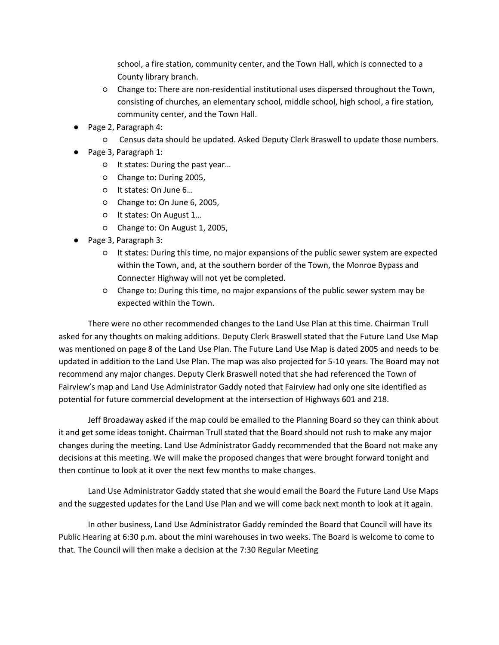school, a fire station, community center, and the Town Hall, which is connected to a County library branch.

- Change to: There are non-residential institutional uses dispersed throughout the Town, consisting of churches, an elementary school, middle school, high school, a fire station, community center, and the Town Hall.
- Page 2, Paragraph 4:
	- Census data should be updated. Asked Deputy Clerk Braswell to update those numbers.
- Page 3, Paragraph 1:
	- It states: During the past year…
	- Change to: During 2005,
	- It states: On June 6…
	- Change to: On June 6, 2005,
	- It states: On August 1…
	- Change to: On August 1, 2005,
- Page 3, Paragraph 3:
	- It states: During this time, no major expansions of the public sewer system are expected within the Town, and, at the southern border of the Town, the Monroe Bypass and Connecter Highway will not yet be completed.
	- Change to: During this time, no major expansions of the public sewer system may be expected within the Town.

There were no other recommended changes to the Land Use Plan at this time. Chairman Trull asked for any thoughts on making additions. Deputy Clerk Braswell stated that the Future Land Use Map was mentioned on page 8 of the Land Use Plan. The Future Land Use Map is dated 2005 and needs to be updated in addition to the Land Use Plan. The map was also projected for 5-10 years. The Board may not recommend any major changes. Deputy Clerk Braswell noted that she had referenced the Town of Fairview's map and Land Use Administrator Gaddy noted that Fairview had only one site identified as potential for future commercial development at the intersection of Highways 601 and 218.

Jeff Broadaway asked if the map could be emailed to the Planning Board so they can think about it and get some ideas tonight. Chairman Trull stated that the Board should not rush to make any major changes during the meeting. Land Use Administrator Gaddy recommended that the Board not make any decisions at this meeting. We will make the proposed changes that were brought forward tonight and then continue to look at it over the next few months to make changes.

Land Use Administrator Gaddy stated that she would email the Board the Future Land Use Maps and the suggested updates for the Land Use Plan and we will come back next month to look at it again.

In other business, Land Use Administrator Gaddy reminded the Board that Council will have its Public Hearing at 6:30 p.m. about the mini warehouses in two weeks. The Board is welcome to come to that. The Council will then make a decision at the 7:30 Regular Meeting